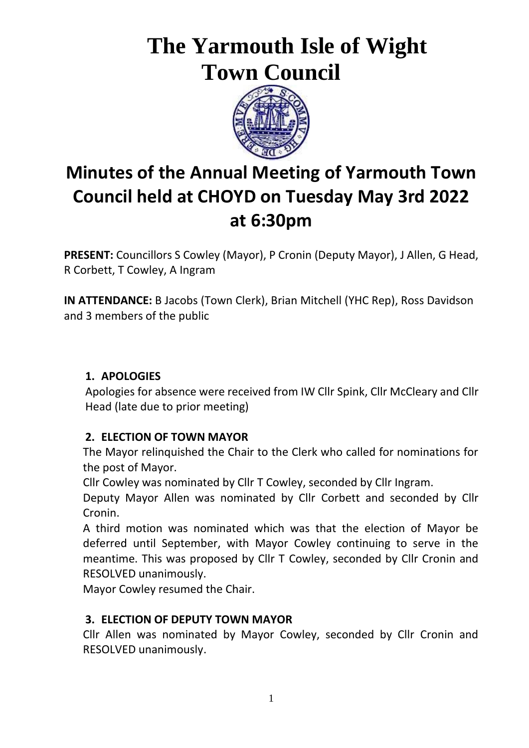# **The Yarmouth Isle of Wight Town Council**



## **Minutes of the Annual Meeting of Yarmouth Town Council held at CHOYD on Tuesday May 3rd 2022 at 6:30pm**

**PRESENT:** Councillors S Cowley (Mayor), P Cronin (Deputy Mayor), J Allen, G Head, R Corbett, T Cowley, A Ingram

**IN ATTENDANCE:** B Jacobs (Town Clerk), Brian Mitchell (YHC Rep), Ross Davidson and 3 members of the public

## **1. APOLOGIES**

Apologies for absence were received from IW Cllr Spink, Cllr McCleary and Cllr Head (late due to prior meeting)

## **2. ELECTION OF TOWN MAYOR**

The Mayor relinquished the Chair to the Clerk who called for nominations for the post of Mayor.

Cllr Cowley was nominated by Cllr T Cowley, seconded by Cllr Ingram.

Deputy Mayor Allen was nominated by Cllr Corbett and seconded by Cllr Cronin.

A third motion was nominated which was that the election of Mayor be deferred until September, with Mayor Cowley continuing to serve in the meantime. This was proposed by Cllr T Cowley, seconded by Cllr Cronin and RESOLVED unanimously.

Mayor Cowley resumed the Chair.

## **3. ELECTION OF DEPUTY TOWN MAYOR**

Cllr Allen was nominated by Mayor Cowley, seconded by Cllr Cronin and RESOLVED unanimously.